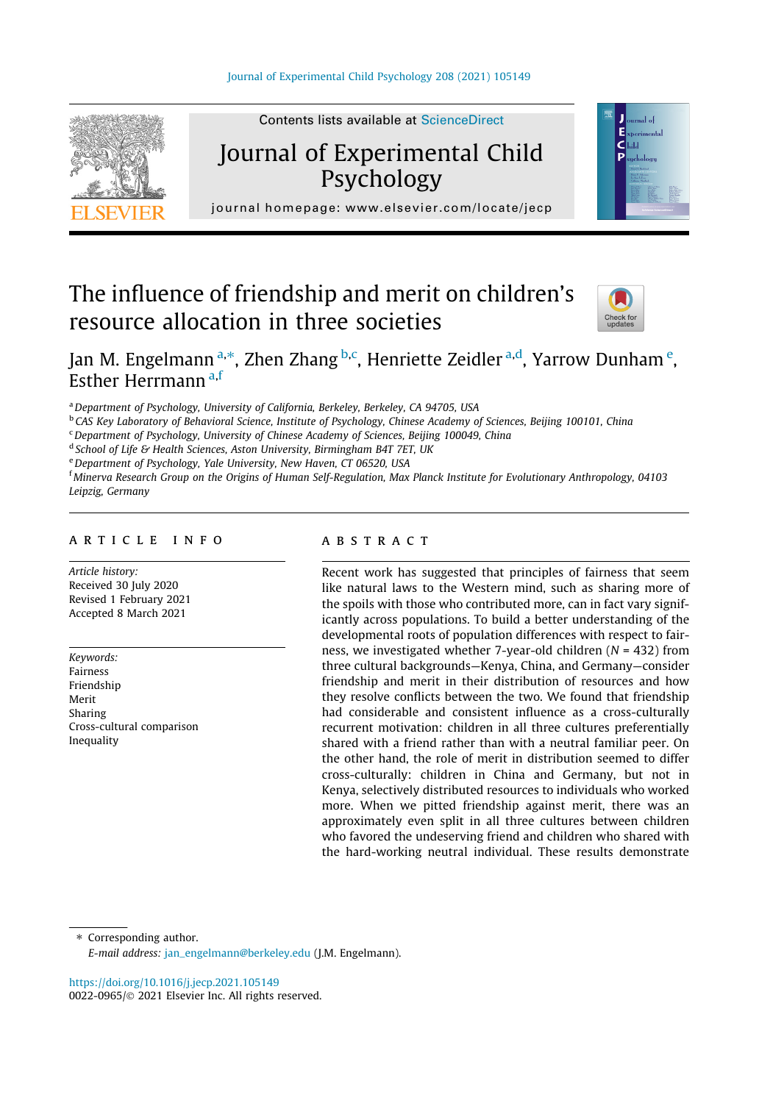

# Journal of Experimental Child Psychology



journal homepage: [www.elsevier.com/locate/jecp](http://www.elsevier.com/locate/jecp)/ $j$ 

# The influence of friendship and merit on children's resource allocation in three societies



# Jan M. Engelmann <sup>a,\*</sup>, Zhen Zhang <sup>b,c</sup>, Henriette Zeidler <sup>a,d</sup>, Yarrow Dunham <sup>e</sup>, Esther Herrmann a,f

<sup>a</sup> Department of Psychology, University of California, Berkeley, Berkeley, CA 94705, USA

**b CAS Key Laboratory of Behavioral Science, Institute of Psychology, Chinese Academy of Sciences, Beijing 100101, China** 

 $c$  Department of Psychology, University of Chinese Academy of Sciences, Beijing 100049, China

<sup>d</sup> School of Life & Health Sciences, Aston University, Birmingham B4T 7ET, UK

e Department of Psychology, Yale University, New Haven, CT 06520, USA

f Minerva Research Group on the Origins of Human Self-Regulation, Max Planck Institute for Evolutionary Anthropology, 04103 Leipzig, Germany

### article info

Article history: Received 30 July 2020 Revised 1 February 2021 Accepted 8 March 2021

Keywords: Fairness Friendship Merit Sharing Cross-cultural comparison Inequality

## **ABSTRACT**

Recent work has suggested that principles of fairness that seem like natural laws to the Western mind, such as sharing more of the spoils with those who contributed more, can in fact vary significantly across populations. To build a better understanding of the developmental roots of population differences with respect to fairness, we investigated whether 7-year-old children  $(N = 432)$  from three cultural backgrounds—Kenya, China, and Germany—consider friendship and merit in their distribution of resources and how they resolve conflicts between the two. We found that friendship had considerable and consistent influence as a cross-culturally recurrent motivation: children in all three cultures preferentially shared with a friend rather than with a neutral familiar peer. On the other hand, the role of merit in distribution seemed to differ cross-culturally: children in China and Germany, but not in Kenya, selectively distributed resources to individuals who worked more. When we pitted friendship against merit, there was an approximately even split in all three cultures between children who favored the undeserving friend and children who shared with the hard-working neutral individual. These results demonstrate

⇑ Corresponding author.

E-mail address: [jan\\_engelmann@berkeley.edu](mailto:jan_engelmann@berkeley.edu) (J.M. Engelmann).

<https://doi.org/10.1016/j.jecp.2021.105149> 0022-0965/© 2021 Elsevier Inc. All rights reserved.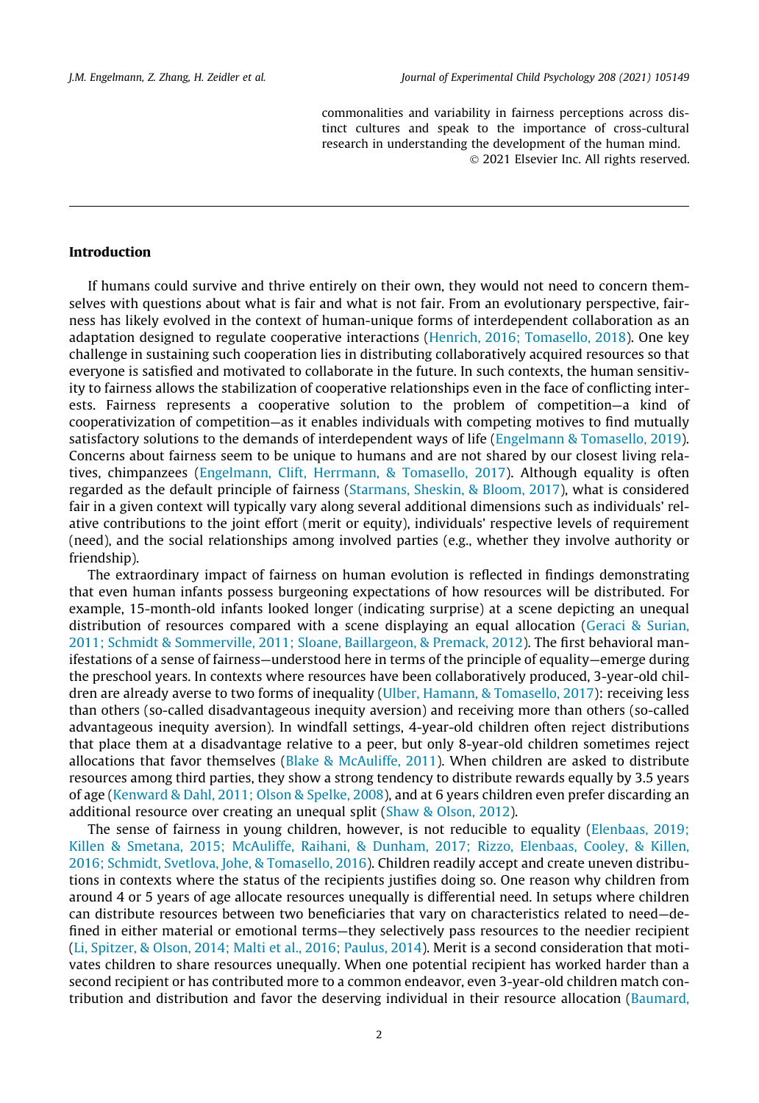commonalities and variability in fairness perceptions across distinct cultures and speak to the importance of cross-cultural research in understanding the development of the human mind. 2021 Elsevier Inc. All rights reserved.

#### Introduction

If humans could survive and thrive entirely on their own, they would not need to concern themselves with questions about what is fair and what is not fair. From an evolutionary perspective, fairness has likely evolved in the context of human-unique forms of interdependent collaboration as an adaptation designed to regulate cooperative interactions ([Henrich, 2016; Tomasello, 2018](#page-12-0)). One key challenge in sustaining such cooperation lies in distributing collaboratively acquired resources so that everyone is satisfied and motivated to collaborate in the future. In such contexts, the human sensitivity to fairness allows the stabilization of cooperative relationships even in the face of conflicting interests. Fairness represents a cooperative solution to the problem of competition—a kind of cooperativization of competition—as it enables individuals with competing motives to find mutually satisfactory solutions to the demands of interdependent ways of life ([Engelmann & Tomasello, 2019](#page-12-0)). Concerns about fairness seem to be unique to humans and are not shared by our closest living relatives, chimpanzees [\(Engelmann, Clift, Herrmann, & Tomasello, 2017\)](#page-12-0). Although equality is often regarded as the default principle of fairness [\(Starmans, Sheskin, & Bloom, 2017](#page-13-0)), what is considered fair in a given context will typically vary along several additional dimensions such as individuals' relative contributions to the joint effort (merit or equity), individuals' respective levels of requirement (need), and the social relationships among involved parties (e.g., whether they involve authority or friendship).

The extraordinary impact of fairness on human evolution is reflected in findings demonstrating that even human infants possess burgeoning expectations of how resources will be distributed. For example, 15-month-old infants looked longer (indicating surprise) at a scene depicting an unequal distribution of resources compared with a scene displaying an equal allocation ([Geraci & Surian,](#page-12-0) [2011; Schmidt & Sommerville, 2011; Sloane, Baillargeon, & Premack, 2012\)](#page-12-0). The first behavioral manifestations of a sense of fairness—understood here in terms of the principle of equality—emerge during the preschool years. In contexts where resources have been collaboratively produced, 3-year-old children are already averse to two forms of inequality [\(Ulber, Hamann, & Tomasello, 2017](#page-13-0)): receiving less than others (so-called disadvantageous inequity aversion) and receiving more than others (so-called advantageous inequity aversion). In windfall settings, 4-year-old children often reject distributions that place them at a disadvantage relative to a peer, but only 8-year-old children sometimes reject allocations that favor themselves [\(Blake & McAuliffe, 2011](#page-11-0)). When children are asked to distribute resources among third parties, they show a strong tendency to distribute rewards equally by 3.5 years of age ([Kenward & Dahl, 2011; Olson & Spelke, 2008\)](#page-12-0), and at 6 years children even prefer discarding an additional resource over creating an unequal split [\(Shaw & Olson, 2012\)](#page-13-0).

The sense of fairness in young children, however, is not reducible to equality ([Elenbaas, 2019;](#page-12-0) [Killen & Smetana, 2015; McAuliffe, Raihani, & Dunham, 2017; Rizzo, Elenbaas, Cooley, & Killen,](#page-12-0) [2016; Schmidt, Svetlova, Johe, & Tomasello, 2016](#page-12-0)). Children readily accept and create uneven distributions in contexts where the status of the recipients justifies doing so. One reason why children from around 4 or 5 years of age allocate resources unequally is differential need. In setups where children can distribute resources between two beneficiaries that vary on characteristics related to need—defined in either material or emotional terms—they selectively pass resources to the needier recipient ([Li, Spitzer, & Olson, 2014; Malti et al., 2016; Paulus, 2014](#page-13-0)). Merit is a second consideration that motivates children to share resources unequally. When one potential recipient has worked harder than a second recipient or has contributed more to a common endeavor, even 3-year-old children match contribution and distribution and favor the deserving individual in their resource allocation [\(Baumard,](#page-11-0)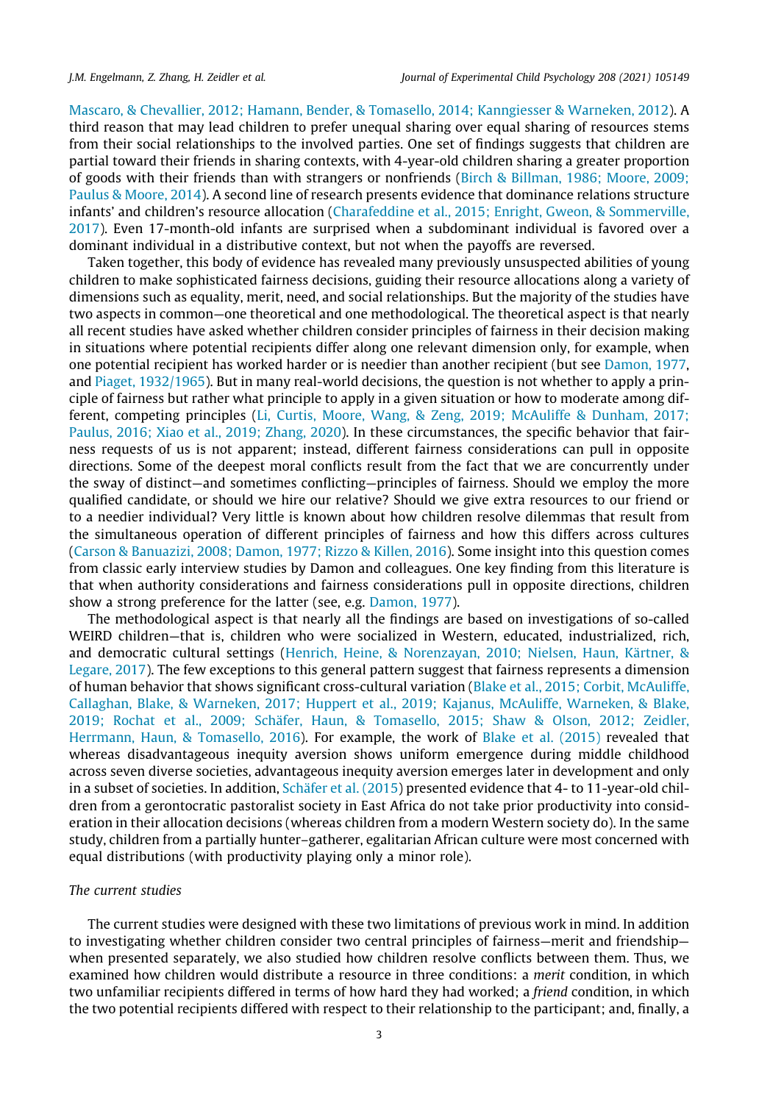[Mascaro, & Chevallier, 2012; Hamann, Bender, & Tomasello, 2014; Kanngiesser & Warneken, 2012](#page-11-0)). A third reason that may lead children to prefer unequal sharing over equal sharing of resources stems from their social relationships to the involved parties. One set of findings suggests that children are partial toward their friends in sharing contexts, with 4-year-old children sharing a greater proportion of goods with their friends than with strangers or nonfriends [\(Birch & Billman, 1986; Moore, 2009;](#page-11-0) [Paulus & Moore, 2014](#page-11-0)). A second line of research presents evidence that dominance relations structure infants' and children's resource allocation [\(Charafeddine et al., 2015; Enright, Gweon, & Sommerville,](#page-12-0) [2017\)](#page-12-0). Even 17-month-old infants are surprised when a subdominant individual is favored over a dominant individual in a distributive context, but not when the payoffs are reversed.

Taken together, this body of evidence has revealed many previously unsuspected abilities of young children to make sophisticated fairness decisions, guiding their resource allocations along a variety of dimensions such as equality, merit, need, and social relationships. But the majority of the studies have two aspects in common—one theoretical and one methodological. The theoretical aspect is that nearly all recent studies have asked whether children consider principles of fairness in their decision making in situations where potential recipients differ along one relevant dimension only, for example, when one potential recipient has worked harder or is needier than another recipient (but see [Damon, 1977](#page-12-0), and [Piaget, 1932/1965\)](#page-13-0). But in many real-world decisions, the question is not whether to apply a principle of fairness but rather what principle to apply in a given situation or how to moderate among different, competing principles ([Li, Curtis, Moore, Wang, & Zeng, 2019; McAuliffe & Dunham, 2017;](#page-13-0) [Paulus, 2016; Xiao et al., 2019; Zhang, 2020](#page-13-0)). In these circumstances, the specific behavior that fairness requests of us is not apparent; instead, different fairness considerations can pull in opposite directions. Some of the deepest moral conflicts result from the fact that we are concurrently under the sway of distinct—and sometimes conflicting—principles of fairness. Should we employ the more qualified candidate, or should we hire our relative? Should we give extra resources to our friend or to a needier individual? Very little is known about how children resolve dilemmas that result from the simultaneous operation of different principles of fairness and how this differs across cultures ([Carson & Banuazizi, 2008; Damon, 1977; Rizzo & Killen, 2016](#page-12-0)). Some insight into this question comes from classic early interview studies by Damon and colleagues. One key finding from this literature is that when authority considerations and fairness considerations pull in opposite directions, children show a strong preference for the latter (see, e.g. [Damon, 1977\)](#page-12-0).

The methodological aspect is that nearly all the findings are based on investigations of so-called WEIRD children—that is, children who were socialized in Western, educated, industrialized, rich, and democratic cultural settings [\(Henrich, Heine, & Norenzayan, 2010; Nielsen, Haun, Kärtner, &](#page-12-0) [Legare, 2017](#page-12-0)). The few exceptions to this general pattern suggest that fairness represents a dimension of human behavior that shows significant cross-cultural variation ([Blake et al., 2015; Corbit, McAuliffe,](#page-12-0) [Callaghan, Blake, & Warneken, 2017; Huppert et al., 2019; Kajanus, McAuliffe, Warneken, & Blake,](#page-12-0) [2019; Rochat et al., 2009; Schäfer, Haun, & Tomasello, 2015; Shaw & Olson, 2012; Zeidler,](#page-12-0) [Herrmann, Haun, & Tomasello, 2016](#page-12-0)). For example, the work of [Blake et al. \(2015\)](#page-12-0) revealed that whereas disadvantageous inequity aversion shows uniform emergence during middle childhood across seven diverse societies, advantageous inequity aversion emerges later in development and only in a subset of societies. In addition, [Schäfer et al. \(2015\)](#page-13-0) presented evidence that 4- to 11-year-old children from a gerontocratic pastoralist society in East Africa do not take prior productivity into consideration in their allocation decisions (whereas children from a modern Western society do). In the same study, children from a partially hunter–gatherer, egalitarian African culture were most concerned with equal distributions (with productivity playing only a minor role).

### The current studies

The current studies were designed with these two limitations of previous work in mind. In addition to investigating whether children consider two central principles of fairness—merit and friendship when presented separately, we also studied how children resolve conflicts between them. Thus, we examined how children would distribute a resource in three conditions: a *merit* condition, in which two unfamiliar recipients differed in terms of how hard they had worked; a friend condition, in which the two potential recipients differed with respect to their relationship to the participant; and, finally, a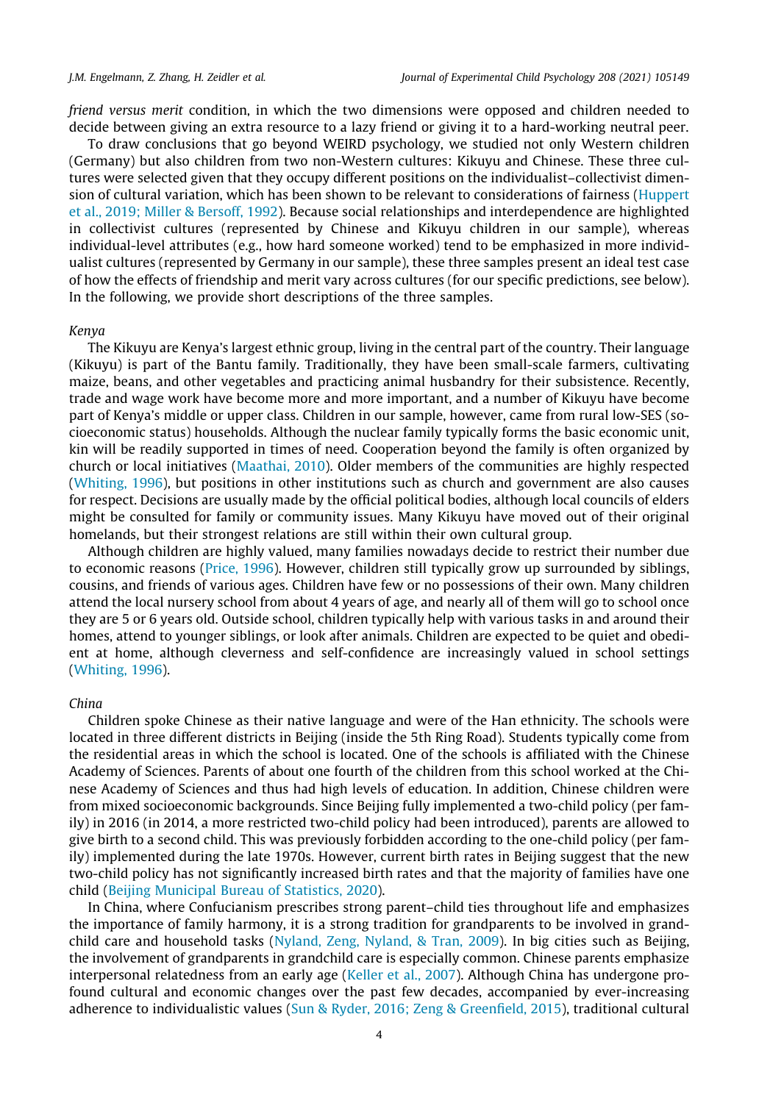friend versus merit condition, in which the two dimensions were opposed and children needed to decide between giving an extra resource to a lazy friend or giving it to a hard-working neutral peer.

To draw conclusions that go beyond WEIRD psychology, we studied not only Western children (Germany) but also children from two non-Western cultures: Kikuyu and Chinese. These three cultures were selected given that they occupy different positions on the individualist–collectivist dimension of cultural variation, which has been shown to be relevant to considerations of fairness ([Huppert](#page-12-0) [et al., 2019; Miller & Bersoff, 1992](#page-12-0)). Because social relationships and interdependence are highlighted in collectivist cultures (represented by Chinese and Kikuyu children in our sample), whereas individual-level attributes (e.g., how hard someone worked) tend to be emphasized in more individualist cultures (represented by Germany in our sample), these three samples present an ideal test case of how the effects of friendship and merit vary across cultures (for our specific predictions, see below). In the following, we provide short descriptions of the three samples.

#### Kenya

The Kikuyu are Kenya's largest ethnic group, living in the central part of the country. Their language (Kikuyu) is part of the Bantu family. Traditionally, they have been small-scale farmers, cultivating maize, beans, and other vegetables and practicing animal husbandry for their subsistence. Recently, trade and wage work have become more and more important, and a number of Kikuyu have become part of Kenya's middle or upper class. Children in our sample, however, came from rural low-SES (socioeconomic status) households. Although the nuclear family typically forms the basic economic unit, kin will be readily supported in times of need. Cooperation beyond the family is often organized by church or local initiatives ([Maathai, 2010](#page-13-0)). Older members of the communities are highly respected ([Whiting, 1996](#page-13-0)), but positions in other institutions such as church and government are also causes for respect. Decisions are usually made by the official political bodies, although local councils of elders might be consulted for family or community issues. Many Kikuyu have moved out of their original homelands, but their strongest relations are still within their own cultural group.

Although children are highly valued, many families nowadays decide to restrict their number due to economic reasons ([Price, 1996\)](#page-13-0). However, children still typically grow up surrounded by siblings, cousins, and friends of various ages. Children have few or no possessions of their own. Many children attend the local nursery school from about 4 years of age, and nearly all of them will go to school once they are 5 or 6 years old. Outside school, children typically help with various tasks in and around their homes, attend to younger siblings, or look after animals. Children are expected to be quiet and obedient at home, although cleverness and self-confidence are increasingly valued in school settings ([Whiting, 1996](#page-13-0)).

#### China

Children spoke Chinese as their native language and were of the Han ethnicity. The schools were located in three different districts in Beijing (inside the 5th Ring Road). Students typically come from the residential areas in which the school is located. One of the schools is affiliated with the Chinese Academy of Sciences. Parents of about one fourth of the children from this school worked at the Chinese Academy of Sciences and thus had high levels of education. In addition, Chinese children were from mixed socioeconomic backgrounds. Since Beijing fully implemented a two-child policy (per family) in 2016 (in 2014, a more restricted two-child policy had been introduced), parents are allowed to give birth to a second child. This was previously forbidden according to the one-child policy (per family) implemented during the late 1970s. However, current birth rates in Beijing suggest that the new two-child policy has not significantly increased birth rates and that the majority of families have one child ([Beijing Municipal Bureau of Statistics, 2020\)](#page-11-0).

In China, where Confucianism prescribes strong parent–child ties throughout life and emphasizes the importance of family harmony, it is a strong tradition for grandparents to be involved in grandchild care and household tasks [\(Nyland, Zeng, Nyland, & Tran, 2009\)](#page-13-0). In big cities such as Beijing, the involvement of grandparents in grandchild care is especially common. Chinese parents emphasize interpersonal relatedness from an early age [\(Keller et al., 2007](#page-12-0)). Although China has undergone profound cultural and economic changes over the past few decades, accompanied by ever-increasing adherence to individualistic values ([Sun & Ryder, 2016; Zeng & Greenfield, 2015](#page-13-0)), traditional cultural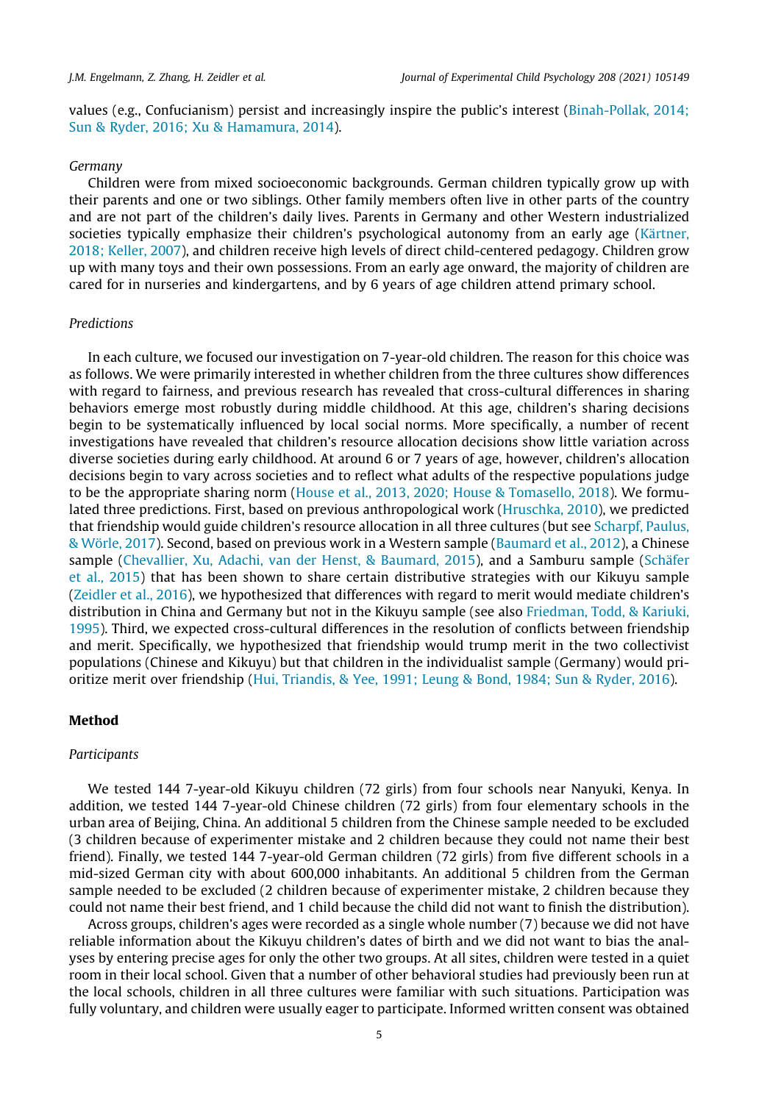values (e.g., Confucianism) persist and increasingly inspire the public's interest ([Binah-Pollak, 2014;](#page-11-0) [Sun & Ryder, 2016; Xu & Hamamura, 2014\)](#page-11-0).

#### Germany

Children were from mixed socioeconomic backgrounds. German children typically grow up with their parents and one or two siblings. Other family members often live in other parts of the country and are not part of the children's daily lives. Parents in Germany and other Western industrialized societies typically emphasize their children's psychological autonomy from an early age ([Kärtner,](#page-12-0) [2018; Keller, 2007\)](#page-12-0), and children receive high levels of direct child-centered pedagogy. Children grow up with many toys and their own possessions. From an early age onward, the majority of children are cared for in nurseries and kindergartens, and by 6 years of age children attend primary school.

#### Predictions

In each culture, we focused our investigation on 7-year-old children. The reason for this choice was as follows. We were primarily interested in whether children from the three cultures show differences with regard to fairness, and previous research has revealed that cross-cultural differences in sharing behaviors emerge most robustly during middle childhood. At this age, children's sharing decisions begin to be systematically influenced by local social norms. More specifically, a number of recent investigations have revealed that children's resource allocation decisions show little variation across diverse societies during early childhood. At around 6 or 7 years of age, however, children's allocation decisions begin to vary across societies and to reflect what adults of the respective populations judge to be the appropriate sharing norm [\(House et al., 2013, 2020; House & Tomasello, 2018\)](#page-12-0). We formulated three predictions. First, based on previous anthropological work ([Hruschka, 2010\)](#page-12-0), we predicted that friendship would guide children's resource allocation in all three cultures (but see [Scharpf, Paulus,](#page-13-0) [& Wörle, 2017](#page-13-0)). Second, based on previous work in a Western sample ([Baumard et al., 2012\)](#page-11-0), a Chinese sample [\(Chevallier, Xu, Adachi, van der Henst, & Baumard, 2015](#page-12-0)), and a Samburu sample [\(Schäfer](#page-13-0) [et al., 2015](#page-13-0)) that has been shown to share certain distributive strategies with our Kikuyu sample ([Zeidler et al., 2016](#page-13-0)), we hypothesized that differences with regard to merit would mediate children's distribution in China and Germany but not in the Kikuyu sample (see also [Friedman, Todd, & Kariuki,](#page-12-0) [1995\)](#page-12-0). Third, we expected cross-cultural differences in the resolution of conflicts between friendship and merit. Specifically, we hypothesized that friendship would trump merit in the two collectivist populations (Chinese and Kikuyu) but that children in the individualist sample (Germany) would prioritize merit over friendship [\(Hui, Triandis, & Yee, 1991; Leung & Bond, 1984; Sun & Ryder, 2016](#page-12-0)).

#### Method

#### Participants

We tested 144 7-year-old Kikuyu children (72 girls) from four schools near Nanyuki, Kenya. In addition, we tested 144 7-year-old Chinese children (72 girls) from four elementary schools in the urban area of Beijing, China. An additional 5 children from the Chinese sample needed to be excluded (3 children because of experimenter mistake and 2 children because they could not name their best friend). Finally, we tested 144 7-year-old German children (72 girls) from five different schools in a mid-sized German city with about 600,000 inhabitants. An additional 5 children from the German sample needed to be excluded (2 children because of experimenter mistake, 2 children because they could not name their best friend, and 1 child because the child did not want to finish the distribution).

Across groups, children's ages were recorded as a single whole number (7) because we did not have reliable information about the Kikuyu children's dates of birth and we did not want to bias the analyses by entering precise ages for only the other two groups. At all sites, children were tested in a quiet room in their local school. Given that a number of other behavioral studies had previously been run at the local schools, children in all three cultures were familiar with such situations. Participation was fully voluntary, and children were usually eager to participate. Informed written consent was obtained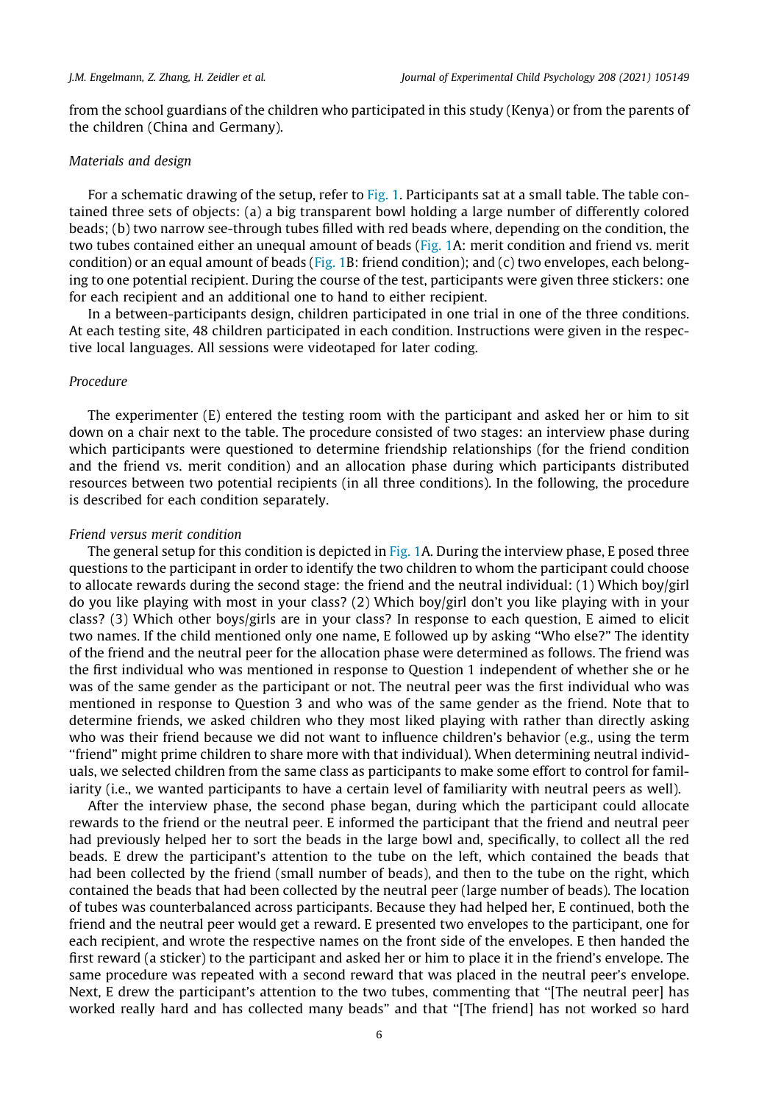from the school guardians of the children who participated in this study (Kenya) or from the parents of the children (China and Germany).

#### Materials and design

For a schematic drawing of the setup, refer to [Fig. 1](#page-6-0). Participants sat at a small table. The table contained three sets of objects: (a) a big transparent bowl holding a large number of differently colored beads; (b) two narrow see-through tubes filled with red beads where, depending on the condition, the two tubes contained either an unequal amount of beads [\(Fig. 1](#page-6-0)A: merit condition and friend vs. merit condition) or an equal amount of beads ([Fig. 1B](#page-6-0): friend condition); and (c) two envelopes, each belonging to one potential recipient. During the course of the test, participants were given three stickers: one for each recipient and an additional one to hand to either recipient.

In a between-participants design, children participated in one trial in one of the three conditions. At each testing site, 48 children participated in each condition. Instructions were given in the respective local languages. All sessions were videotaped for later coding.

#### Procedure

The experimenter (E) entered the testing room with the participant and asked her or him to sit down on a chair next to the table. The procedure consisted of two stages: an interview phase during which participants were questioned to determine friendship relationships (for the friend condition and the friend vs. merit condition) and an allocation phase during which participants distributed resources between two potential recipients (in all three conditions). In the following, the procedure is described for each condition separately.

#### Friend versus merit condition

The general setup for this condition is depicted in [Fig. 1A](#page-6-0). During the interview phase, E posed three questions to the participant in order to identify the two children to whom the participant could choose to allocate rewards during the second stage: the friend and the neutral individual: (1) Which boy/girl do you like playing with most in your class? (2) Which boy/girl don't you like playing with in your class? (3) Which other boys/girls are in your class? In response to each question, E aimed to elicit two names. If the child mentioned only one name, E followed up by asking ''Who else?" The identity of the friend and the neutral peer for the allocation phase were determined as follows. The friend was the first individual who was mentioned in response to Question 1 independent of whether she or he was of the same gender as the participant or not. The neutral peer was the first individual who was mentioned in response to Question 3 and who was of the same gender as the friend. Note that to determine friends, we asked children who they most liked playing with rather than directly asking who was their friend because we did not want to influence children's behavior (e.g., using the term ''friend" might prime children to share more with that individual). When determining neutral individuals, we selected children from the same class as participants to make some effort to control for familiarity (i.e., we wanted participants to have a certain level of familiarity with neutral peers as well).

After the interview phase, the second phase began, during which the participant could allocate rewards to the friend or the neutral peer. E informed the participant that the friend and neutral peer had previously helped her to sort the beads in the large bowl and, specifically, to collect all the red beads. E drew the participant's attention to the tube on the left, which contained the beads that had been collected by the friend (small number of beads), and then to the tube on the right, which contained the beads that had been collected by the neutral peer (large number of beads). The location of tubes was counterbalanced across participants. Because they had helped her, E continued, both the friend and the neutral peer would get a reward. E presented two envelopes to the participant, one for each recipient, and wrote the respective names on the front side of the envelopes. E then handed the first reward (a sticker) to the participant and asked her or him to place it in the friend's envelope. The same procedure was repeated with a second reward that was placed in the neutral peer's envelope. Next, E drew the participant's attention to the two tubes, commenting that ''[The neutral peer] has worked really hard and has collected many beads" and that ''[The friend] has not worked so hard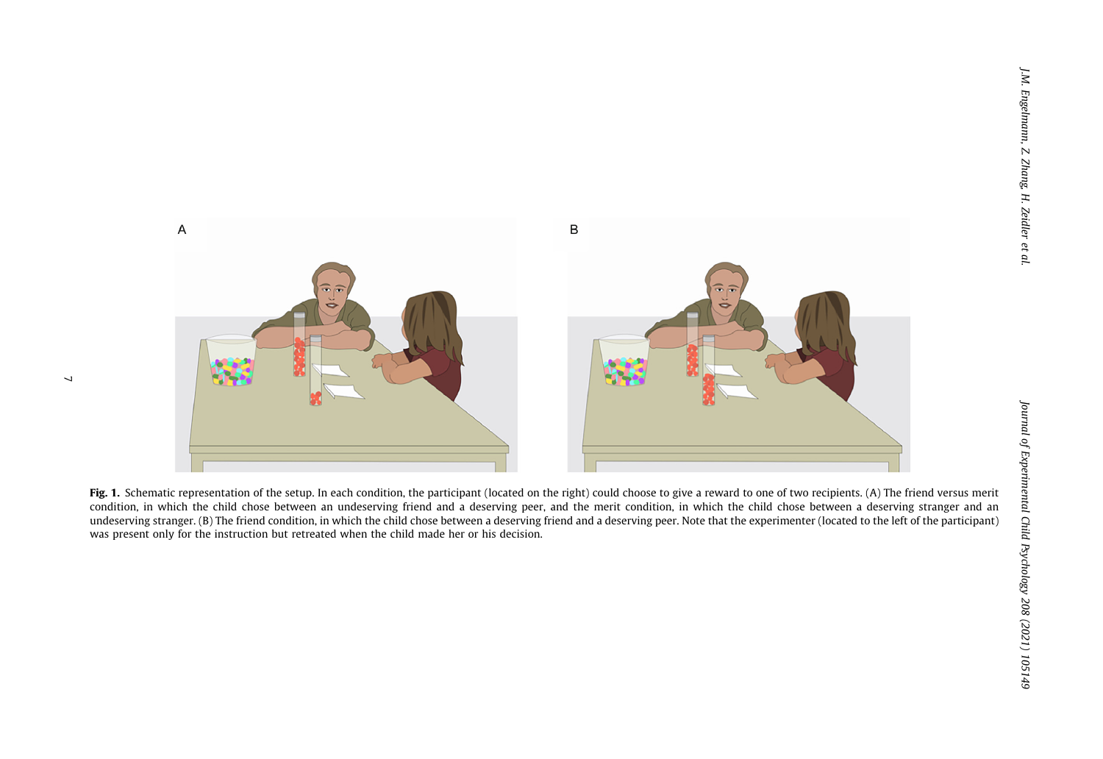<span id="page-6-0"></span>

Fig. 1. Schematic representation of the setup. In each condition, the participant (located on the right) could choose to give a reward to one of two recipients. (A) The friend versus merit condition, in which the child chose between an undeserving friend and <sup>a</sup> deserving peer, and the merit condition, in which the child chose between <sup>a</sup> deserving stranger and an undeserving stranger. (B) The friend condition, in which the child chose between <sup>a</sup> deserving friend and <sup>a</sup> deserving peer. Note that the experimenter (located to the left of the participant) was present only for the instruction but retreated when the child made her or his decision.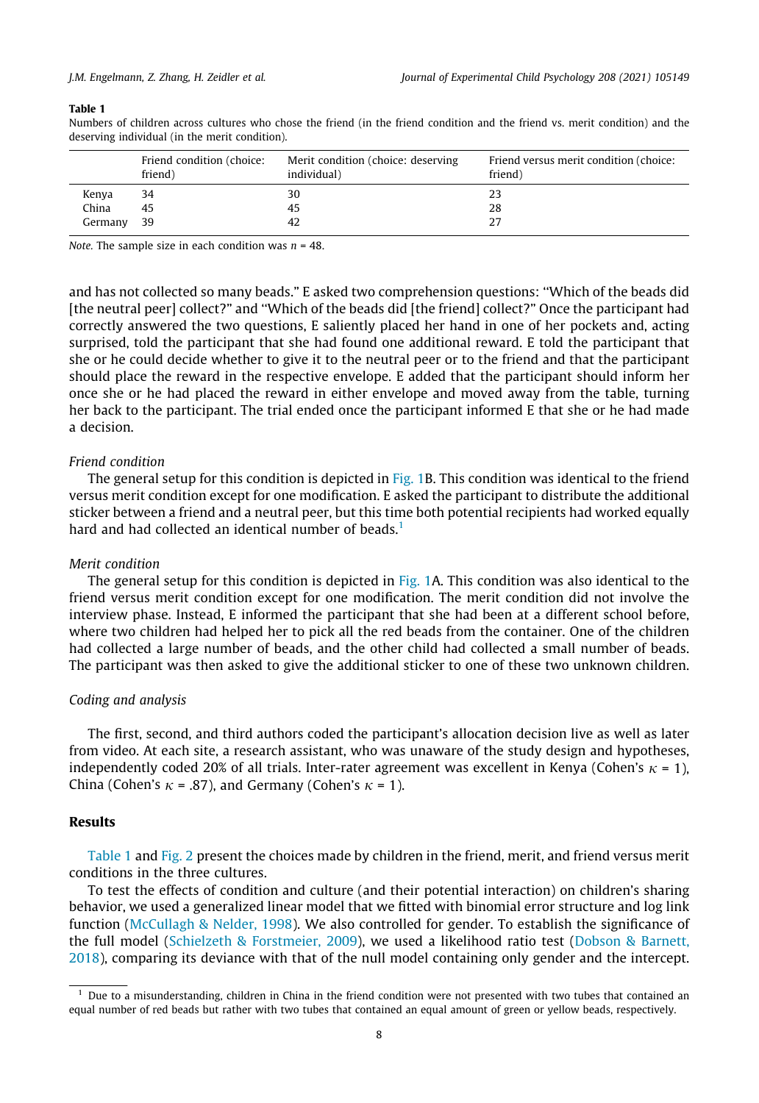#### Table 1

Numbers of children across cultures who chose the friend (in the friend condition and the friend vs. merit condition) and the deserving individual (in the merit condition).

|         | Friend condition (choice:<br>friend) | Merit condition (choice: deserving<br>individual) | Friend versus merit condition (choice:<br>friend) |
|---------|--------------------------------------|---------------------------------------------------|---------------------------------------------------|
| Kenya   | 34                                   | 30                                                | 23                                                |
| China   | 45                                   | 45                                                | 28                                                |
| Germany | 39                                   | 42                                                |                                                   |

Note. The sample size in each condition was  $n = 48$ .

and has not collected so many beads." E asked two comprehension questions: ''Which of the beads did [the neutral peer] collect?" and ''Which of the beads did [the friend] collect?" Once the participant had correctly answered the two questions, E saliently placed her hand in one of her pockets and, acting surprised, told the participant that she had found one additional reward. E told the participant that she or he could decide whether to give it to the neutral peer or to the friend and that the participant should place the reward in the respective envelope. E added that the participant should inform her once she or he had placed the reward in either envelope and moved away from the table, turning her back to the participant. The trial ended once the participant informed E that she or he had made a decision.

#### Friend condition

The general setup for this condition is depicted in [Fig. 1](#page-6-0)B. This condition was identical to the friend versus merit condition except for one modification. E asked the participant to distribute the additional sticker between a friend and a neutral peer, but this time both potential recipients had worked equally hard and had collected an identical number of beads.<sup>1</sup>

#### Merit condition

The general setup for this condition is depicted in [Fig. 1](#page-6-0)A. This condition was also identical to the friend versus merit condition except for one modification. The merit condition did not involve the interview phase. Instead, E informed the participant that she had been at a different school before, where two children had helped her to pick all the red beads from the container. One of the children had collected a large number of beads, and the other child had collected a small number of beads. The participant was then asked to give the additional sticker to one of these two unknown children.

#### Coding and analysis

The first, second, and third authors coded the participant's allocation decision live as well as later from video. At each site, a research assistant, who was unaware of the study design and hypotheses, independently coded 20% of all trials. Inter-rater agreement was excellent in Kenya (Cohen's  $\kappa = 1$ ), China (Cohen's  $\kappa$  = .87), and Germany (Cohen's  $\kappa$  = 1).

#### Results

Table 1 and [Fig. 2](#page-8-0) present the choices made by children in the friend, merit, and friend versus merit conditions in the three cultures.

To test the effects of condition and culture (and their potential interaction) on children's sharing behavior, we used a generalized linear model that we fitted with binomial error structure and log link function [\(McCullagh & Nelder, 1998](#page-13-0)). We also controlled for gender. To establish the significance of the full model [\(Schielzeth & Forstmeier, 2009](#page-13-0)), we used a likelihood ratio test ([Dobson & Barnett,](#page-12-0) [2018\)](#page-12-0), comparing its deviance with that of the null model containing only gender and the intercept.

 $<sup>1</sup>$  Due to a misunderstanding, children in China in the friend condition were not presented with two tubes that contained an</sup> equal number of red beads but rather with two tubes that contained an equal amount of green or yellow beads, respectively.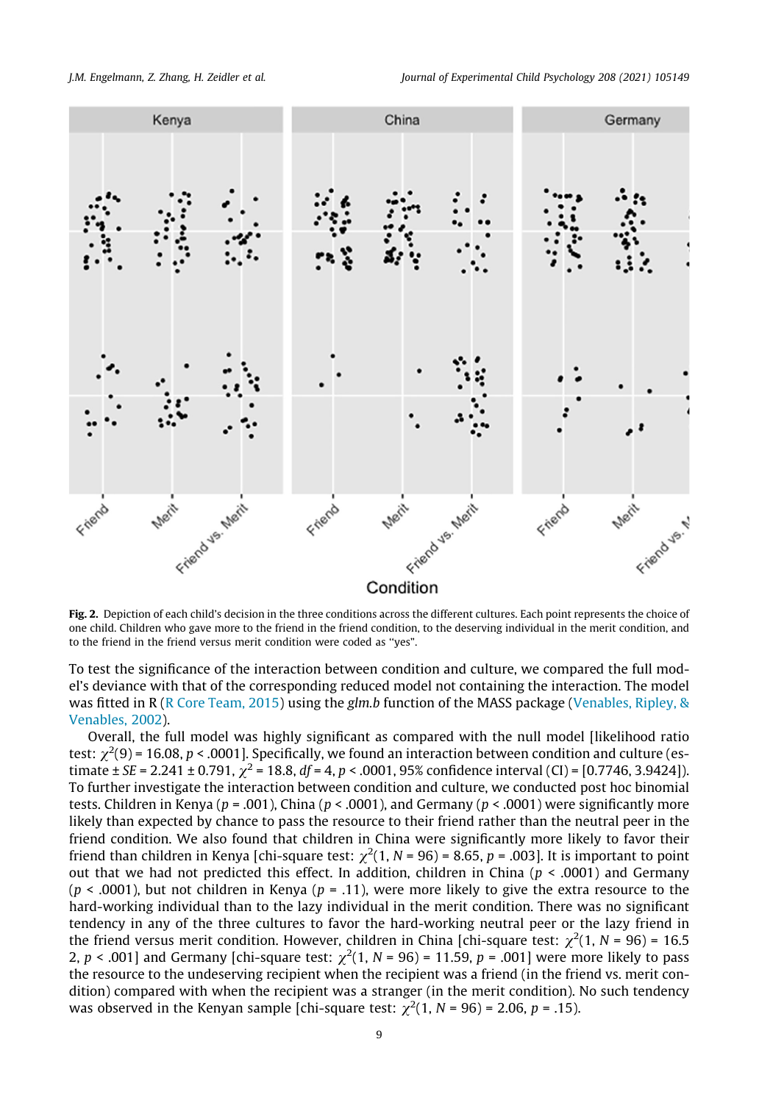<span id="page-8-0"></span>

Fig. 2. Depiction of each child's decision in the three conditions across the different cultures. Each point represents the choice of one child. Children who gave more to the friend in the friend condition, to the deserving individual in the merit condition, and to the friend in the friend versus merit condition were coded as ''yes".

To test the significance of the interaction between condition and culture, we compared the full model's deviance with that of the corresponding reduced model not containing the interaction. The model was fitted in R [\(R Core Team, 2015](#page-13-0)) using the glm.b function of the MASS package ([Venables, Ripley, &](#page-13-0) [Venables, 2002](#page-13-0)).

Overall, the full model was highly significant as compared with the null model [likelihood ratio test:  $\chi^2(9)$  = 16.08, p < .0001]. Specifically, we found an interaction between condition and culture (estimate ± SE = 2.241 ± 0.791,  $\chi^2$  = 18.8, df = 4, p < .0001, 95% confidence interval (CI) = [0.7746, 3.9424]). To further investigate the interaction between condition and culture, we conducted post hoc binomial tests. Children in Kenya ( $p = .001$ ), China ( $p < .0001$ ), and Germany ( $p < .0001$ ) were significantly more likely than expected by chance to pass the resource to their friend rather than the neutral peer in the friend condition. We also found that children in China were significantly more likely to favor their friend than children in Kenya [chi-square test:  $\chi^2(1,N$  = 96) = 8.65, p = .003]. It is important to point out that we had not predicted this effect. In addition, children in China ( $p < .0001$ ) and Germany ( $p$  < .0001), but not children in Kenya ( $p$  = .11), were more likely to give the extra resource to the hard-working individual than to the lazy individual in the merit condition. There was no significant tendency in any of the three cultures to favor the hard-working neutral peer or the lazy friend in the friend versus merit condition. However, children in China [chi-square test:  $\chi^2(1, N = 96) = 16.5$ 2,  $p < .001$ ] and Germany [chi-square test:  $\chi^2(1, N = 96) = 11.59$ ,  $p = .001$ ] were more likely to pass the resource to the undeserving recipient when the recipient was a friend (in the friend vs. merit condition) compared with when the recipient was a stranger (in the merit condition). No such tendency was observed in the Kenyan sample [chi-square test:  $\chi^2(1, N = 96)$  = 2.06, p = .15).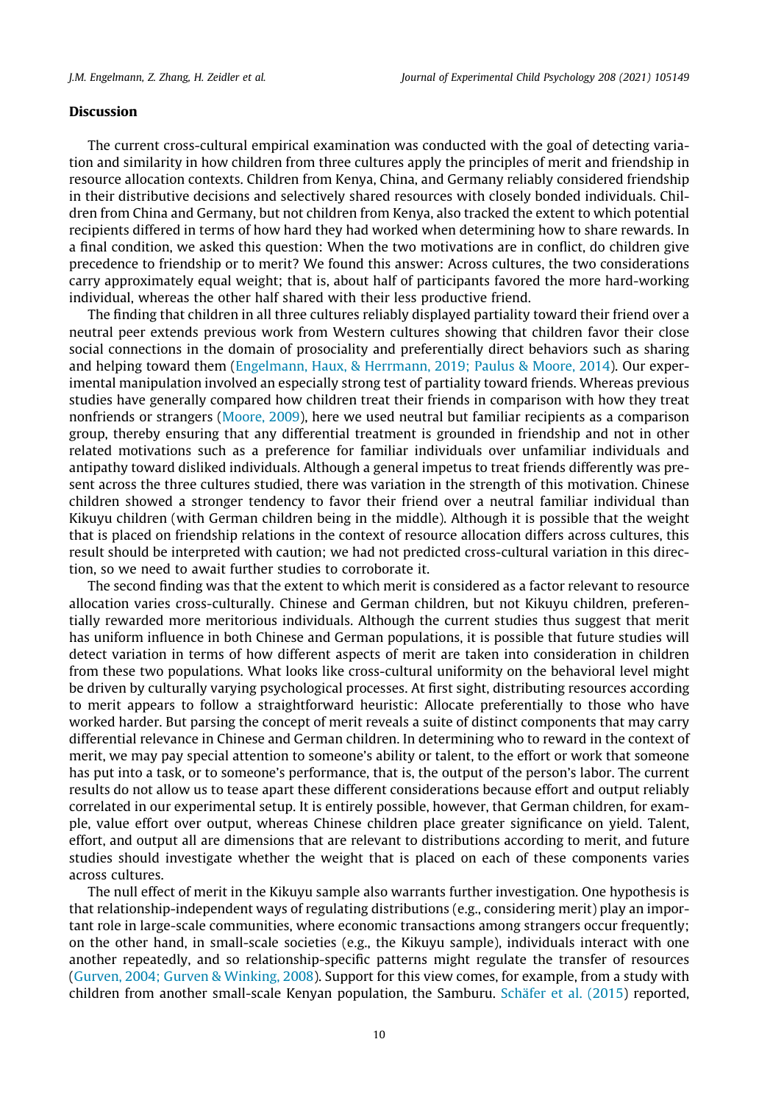#### Discussion

The current cross-cultural empirical examination was conducted with the goal of detecting variation and similarity in how children from three cultures apply the principles of merit and friendship in resource allocation contexts. Children from Kenya, China, and Germany reliably considered friendship in their distributive decisions and selectively shared resources with closely bonded individuals. Children from China and Germany, but not children from Kenya, also tracked the extent to which potential recipients differed in terms of how hard they had worked when determining how to share rewards. In a final condition, we asked this question: When the two motivations are in conflict, do children give precedence to friendship or to merit? We found this answer: Across cultures, the two considerations carry approximately equal weight; that is, about half of participants favored the more hard-working individual, whereas the other half shared with their less productive friend.

The finding that children in all three cultures reliably displayed partiality toward their friend over a neutral peer extends previous work from Western cultures showing that children favor their close social connections in the domain of prosociality and preferentially direct behaviors such as sharing and helping toward them [\(Engelmann, Haux, & Herrmann, 2019; Paulus & Moore, 2014](#page-12-0)). Our experimental manipulation involved an especially strong test of partiality toward friends. Whereas previous studies have generally compared how children treat their friends in comparison with how they treat nonfriends or strangers [\(Moore, 2009\)](#page-13-0), here we used neutral but familiar recipients as a comparison group, thereby ensuring that any differential treatment is grounded in friendship and not in other related motivations such as a preference for familiar individuals over unfamiliar individuals and antipathy toward disliked individuals. Although a general impetus to treat friends differently was present across the three cultures studied, there was variation in the strength of this motivation. Chinese children showed a stronger tendency to favor their friend over a neutral familiar individual than Kikuyu children (with German children being in the middle). Although it is possible that the weight that is placed on friendship relations in the context of resource allocation differs across cultures, this result should be interpreted with caution; we had not predicted cross-cultural variation in this direction, so we need to await further studies to corroborate it.

The second finding was that the extent to which merit is considered as a factor relevant to resource allocation varies cross-culturally. Chinese and German children, but not Kikuyu children, preferentially rewarded more meritorious individuals. Although the current studies thus suggest that merit has uniform influence in both Chinese and German populations, it is possible that future studies will detect variation in terms of how different aspects of merit are taken into consideration in children from these two populations. What looks like cross-cultural uniformity on the behavioral level might be driven by culturally varying psychological processes. At first sight, distributing resources according to merit appears to follow a straightforward heuristic: Allocate preferentially to those who have worked harder. But parsing the concept of merit reveals a suite of distinct components that may carry differential relevance in Chinese and German children. In determining who to reward in the context of merit, we may pay special attention to someone's ability or talent, to the effort or work that someone has put into a task, or to someone's performance, that is, the output of the person's labor. The current results do not allow us to tease apart these different considerations because effort and output reliably correlated in our experimental setup. It is entirely possible, however, that German children, for example, value effort over output, whereas Chinese children place greater significance on yield. Talent, effort, and output all are dimensions that are relevant to distributions according to merit, and future studies should investigate whether the weight that is placed on each of these components varies across cultures.

The null effect of merit in the Kikuyu sample also warrants further investigation. One hypothesis is that relationship-independent ways of regulating distributions (e.g., considering merit) play an important role in large-scale communities, where economic transactions among strangers occur frequently; on the other hand, in small-scale societies (e.g., the Kikuyu sample), individuals interact with one another repeatedly, and so relationship-specific patterns might regulate the transfer of resources ([Gurven, 2004; Gurven & Winking, 2008](#page-12-0)). Support for this view comes, for example, from a study with children from another small-scale Kenyan population, the Samburu. [Schäfer et al. \(2015](#page-13-0)) reported,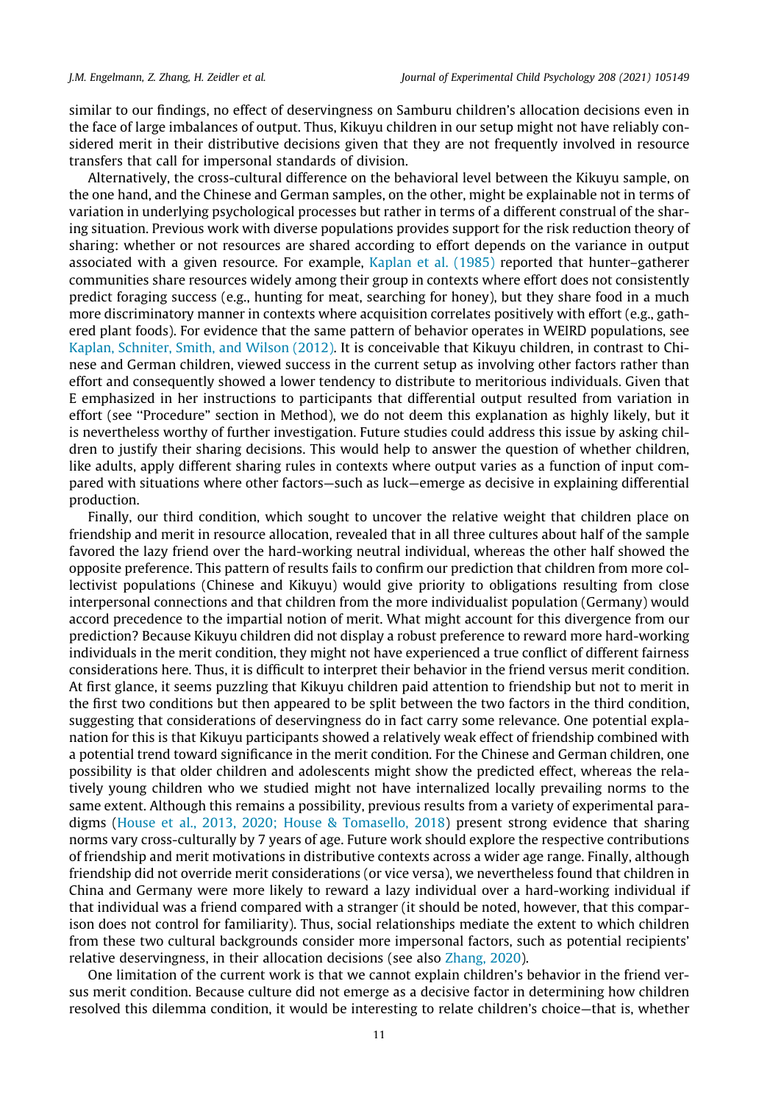similar to our findings, no effect of deservingness on Samburu children's allocation decisions even in the face of large imbalances of output. Thus, Kikuyu children in our setup might not have reliably considered merit in their distributive decisions given that they are not frequently involved in resource transfers that call for impersonal standards of division.

Alternatively, the cross-cultural difference on the behavioral level between the Kikuyu sample, on the one hand, and the Chinese and German samples, on the other, might be explainable not in terms of variation in underlying psychological processes but rather in terms of a different construal of the sharing situation. Previous work with diverse populations provides support for the risk reduction theory of sharing: whether or not resources are shared according to effort depends on the variance in output associated with a given resource. For example, [Kaplan et al. \(1985\)](#page-12-0) reported that hunter–gatherer communities share resources widely among their group in contexts where effort does not consistently predict foraging success (e.g., hunting for meat, searching for honey), but they share food in a much more discriminatory manner in contexts where acquisition correlates positively with effort (e.g., gathered plant foods). For evidence that the same pattern of behavior operates in WEIRD populations, see [Kaplan, Schniter, Smith, and Wilson \(2012\).](#page-12-0) It is conceivable that Kikuyu children, in contrast to Chinese and German children, viewed success in the current setup as involving other factors rather than effort and consequently showed a lower tendency to distribute to meritorious individuals. Given that E emphasized in her instructions to participants that differential output resulted from variation in effort (see ''Procedure" section in Method), we do not deem this explanation as highly likely, but it is nevertheless worthy of further investigation. Future studies could address this issue by asking children to justify their sharing decisions. This would help to answer the question of whether children, like adults, apply different sharing rules in contexts where output varies as a function of input compared with situations where other factors—such as luck—emerge as decisive in explaining differential production.

Finally, our third condition, which sought to uncover the relative weight that children place on friendship and merit in resource allocation, revealed that in all three cultures about half of the sample favored the lazy friend over the hard-working neutral individual, whereas the other half showed the opposite preference. This pattern of results fails to confirm our prediction that children from more collectivist populations (Chinese and Kikuyu) would give priority to obligations resulting from close interpersonal connections and that children from the more individualist population (Germany) would accord precedence to the impartial notion of merit. What might account for this divergence from our prediction? Because Kikuyu children did not display a robust preference to reward more hard-working individuals in the merit condition, they might not have experienced a true conflict of different fairness considerations here. Thus, it is difficult to interpret their behavior in the friend versus merit condition. At first glance, it seems puzzling that Kikuyu children paid attention to friendship but not to merit in the first two conditions but then appeared to be split between the two factors in the third condition, suggesting that considerations of deservingness do in fact carry some relevance. One potential explanation for this is that Kikuyu participants showed a relatively weak effect of friendship combined with a potential trend toward significance in the merit condition. For the Chinese and German children, one possibility is that older children and adolescents might show the predicted effect, whereas the relatively young children who we studied might not have internalized locally prevailing norms to the same extent. Although this remains a possibility, previous results from a variety of experimental paradigms [\(House et al., 2013, 2020; House & Tomasello, 2018\)](#page-12-0) present strong evidence that sharing norms vary cross-culturally by 7 years of age. Future work should explore the respective contributions of friendship and merit motivations in distributive contexts across a wider age range. Finally, although friendship did not override merit considerations (or vice versa), we nevertheless found that children in China and Germany were more likely to reward a lazy individual over a hard-working individual if that individual was a friend compared with a stranger (it should be noted, however, that this comparison does not control for familiarity). Thus, social relationships mediate the extent to which children from these two cultural backgrounds consider more impersonal factors, such as potential recipients' relative deservingness, in their allocation decisions (see also [Zhang, 2020](#page-13-0)).

One limitation of the current work is that we cannot explain children's behavior in the friend versus merit condition. Because culture did not emerge as a decisive factor in determining how children resolved this dilemma condition, it would be interesting to relate children's choice—that is, whether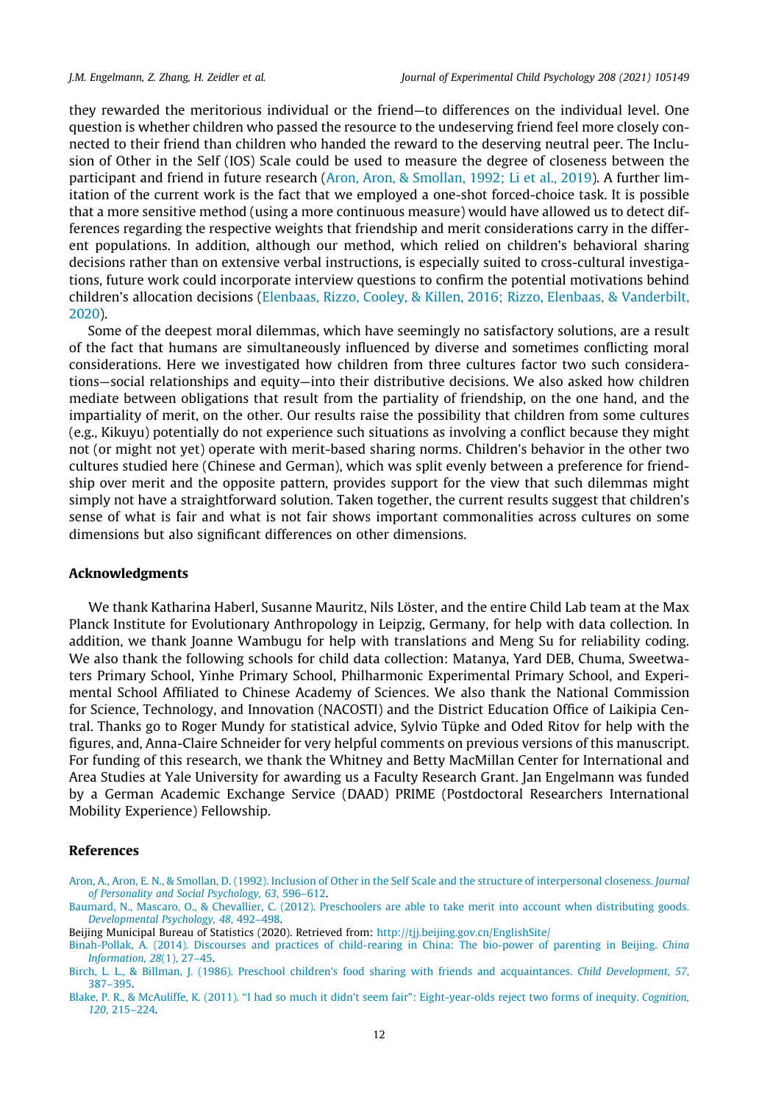<span id="page-11-0"></span>they rewarded the meritorious individual or the friend—to differences on the individual level. One question is whether children who passed the resource to the undeserving friend feel more closely connected to their friend than children who handed the reward to the deserving neutral peer. The Inclusion of Other in the Self (IOS) Scale could be used to measure the degree of closeness between the participant and friend in future research (Aron, Aron, & Smollan, 1992; Li et al., 2019). A further limitation of the current work is the fact that we employed a one-shot forced-choice task. It is possible that a more sensitive method (using a more continuous measure) would have allowed us to detect differences regarding the respective weights that friendship and merit considerations carry in the different populations. In addition, although our method, which relied on children's behavioral sharing decisions rather than on extensive verbal instructions, is especially suited to cross-cultural investigations, future work could incorporate interview questions to confirm the potential motivations behind children's allocation decisions ([Elenbaas, Rizzo, Cooley, & Killen, 2016; Rizzo, Elenbaas, & Vanderbilt,](#page-12-0) [2020](#page-12-0)).

Some of the deepest moral dilemmas, which have seemingly no satisfactory solutions, are a result of the fact that humans are simultaneously influenced by diverse and sometimes conflicting moral considerations. Here we investigated how children from three cultures factor two such considerations—social relationships and equity—into their distributive decisions. We also asked how children mediate between obligations that result from the partiality of friendship, on the one hand, and the impartiality of merit, on the other. Our results raise the possibility that children from some cultures (e.g., Kikuyu) potentially do not experience such situations as involving a conflict because they might not (or might not yet) operate with merit-based sharing norms. Children's behavior in the other two cultures studied here (Chinese and German), which was split evenly between a preference for friendship over merit and the opposite pattern, provides support for the view that such dilemmas might simply not have a straightforward solution. Taken together, the current results suggest that children's sense of what is fair and what is not fair shows important commonalities across cultures on some dimensions but also significant differences on other dimensions.

#### Acknowledgments

We thank Katharina Haberl, Susanne Mauritz, Nils Löster, and the entire Child Lab team at the Max Planck Institute for Evolutionary Anthropology in Leipzig, Germany, for help with data collection. In addition, we thank Joanne Wambugu for help with translations and Meng Su for reliability coding. We also thank the following schools for child data collection: Matanya, Yard DEB, Chuma, Sweetwaters Primary School, Yinhe Primary School, Philharmonic Experimental Primary School, and Experimental School Affiliated to Chinese Academy of Sciences. We also thank the National Commission for Science, Technology, and Innovation (NACOSTI) and the District Education Office of Laikipia Central. Thanks go to Roger Mundy for statistical advice, Sylvio Tüpke and Oded Ritov for help with the figures, and, Anna-Claire Schneider for very helpful comments on previous versions of this manuscript. For funding of this research, we thank the Whitney and Betty MacMillan Center for International and Area Studies at Yale University for awarding us a Faculty Research Grant. Jan Engelmann was funded by a German Academic Exchange Service (DAAD) PRIME (Postdoctoral Researchers International Mobility Experience) Fellowship.

#### References

- [Aron, A., Aron, E. N., & Smollan, D. \(1992\). Inclusion of Other in the Self Scale and the structure of interpersonal closeness.](http://refhub.elsevier.com/S0022-0965(21)00067-9/h0005) Journal [of Personality and Social Psychology, 63](http://refhub.elsevier.com/S0022-0965(21)00067-9/h0005), 596–612.
- [Baumard, N., Mascaro, O., & Chevallier, C. \(2012\). Preschoolers are able to take merit into account when distributing goods.](http://refhub.elsevier.com/S0022-0965(21)00067-9/h0010) [Developmental Psychology, 48](http://refhub.elsevier.com/S0022-0965(21)00067-9/h0010), 492–498.
- Beijing Municipal Bureau of Statistics (2020). Retrieved from: <http://tjj.beijing.gov.cn/EnglishSite/>
- [Binah-Pollak, A. \(2014\). Discourses and practices of child-rearing in China: The bio-power of parenting in Beijing.](http://refhub.elsevier.com/S0022-0965(21)00067-9/h0015) China [Information, 28](http://refhub.elsevier.com/S0022-0965(21)00067-9/h0015)(1), 27–45.
- [Birch, L. L., & Billman, J. \(1986\). Preschool children's food sharing with friends and acquaintances.](http://refhub.elsevier.com/S0022-0965(21)00067-9/h0020) Child Development, 57, [387–395](http://refhub.elsevier.com/S0022-0965(21)00067-9/h0020).
- [Blake, P. R., & McAuliffe, K. \(2011\). ''I had so much it didn't seem fair": Eight-year-olds reject two forms of inequity.](http://refhub.elsevier.com/S0022-0965(21)00067-9/h0025) Cognition, 120[, 215–224.](http://refhub.elsevier.com/S0022-0965(21)00067-9/h0025)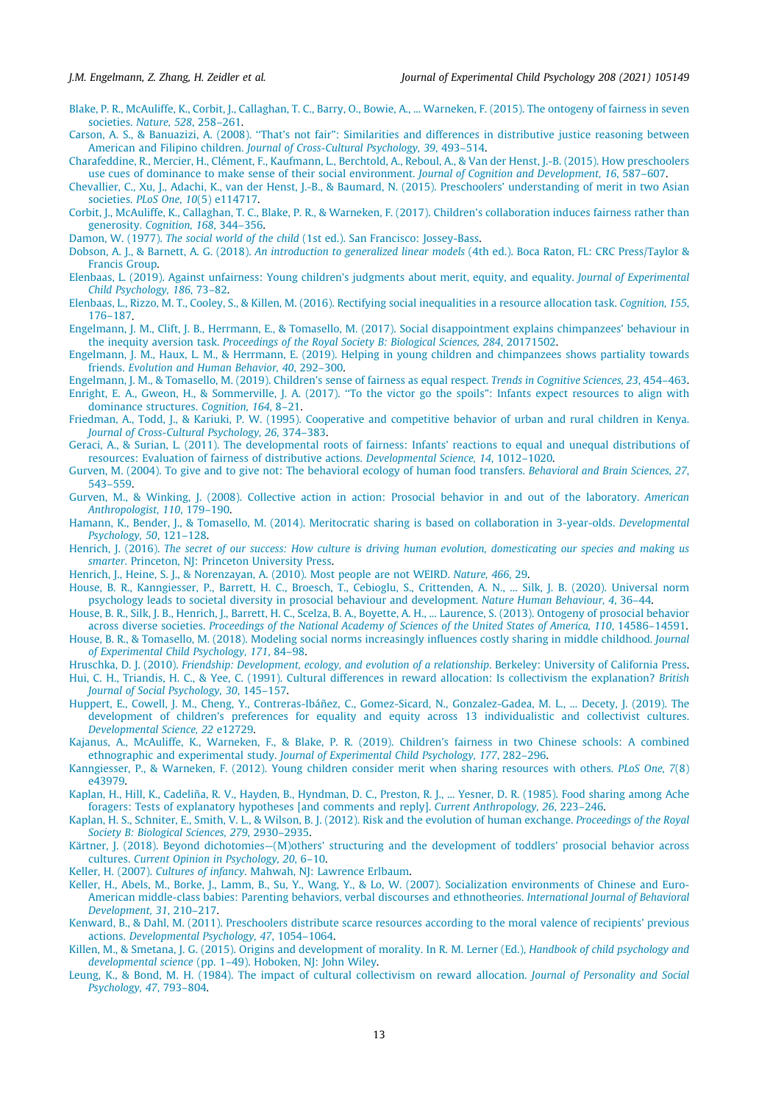- <span id="page-12-0"></span>[Blake, P. R., McAuliffe, K., Corbit, J., Callaghan, T. C., Barry, O., Bowie, A., ... Warneken, F. \(2015\). The ontogeny of fairness in seven](http://refhub.elsevier.com/S0022-0965(21)00067-9/h0030) societies. [Nature, 528](http://refhub.elsevier.com/S0022-0965(21)00067-9/h0030), 258–261.
- [Carson, A. S., & Banuazizi, A. \(2008\). ''That's not fair": Similarities and differences in distributive justice reasoning between](http://refhub.elsevier.com/S0022-0965(21)00067-9/h0035) American and Filipino children. [Journal of Cross-Cultural Psychology, 39](http://refhub.elsevier.com/S0022-0965(21)00067-9/h0035), 493–514.
- [Charafeddine, R., Mercier, H., Clément, F., Kaufmann, L., Berchtold, A., Reboul, A., & Van der Henst, J.-B. \(2015\). How preschoolers](http://refhub.elsevier.com/S0022-0965(21)00067-9/h0040) [use cues of dominance to make sense of their social environment.](http://refhub.elsevier.com/S0022-0965(21)00067-9/h0040) Journal of Cognition and Development, 16, 587–607.
- [Chevallier, C., Xu, J., Adachi, K., van der Henst, J.-B., & Baumard, N. \(2015\). Preschoolers' understanding of merit in two Asian](http://refhub.elsevier.com/S0022-0965(21)00067-9/h0045) societies. [PLoS One, 10](http://refhub.elsevier.com/S0022-0965(21)00067-9/h0045)(5) e114717.
- [Corbit, J., McAuliffe, K., Callaghan, T. C., Blake, P. R., & Warneken, F. \(2017\). Children's collaboration induces fairness rather than](http://refhub.elsevier.com/S0022-0965(21)00067-9/h0050) generosity. [Cognition, 168](http://refhub.elsevier.com/S0022-0965(21)00067-9/h0050), 344–356.
- Damon, W. (1977). The social world of the child [\(1st ed.\). San Francisco: Jossey-Bass](http://refhub.elsevier.com/S0022-0965(21)00067-9/h0055).
- Dobson, A. J., & Barnett, A. G. (2018). An introduction to generalized linear models [\(4th ed.\). Boca Raton, FL: CRC Press/Taylor &](http://refhub.elsevier.com/S0022-0965(21)00067-9/h0060) [Francis Group.](http://refhub.elsevier.com/S0022-0965(21)00067-9/h0060)
- [Elenbaas, L. \(2019\). Against unfairness: Young children's judgments about merit, equity, and equality.](http://refhub.elsevier.com/S0022-0965(21)00067-9/h0065) Journal of Experimental [Child Psychology, 186](http://refhub.elsevier.com/S0022-0965(21)00067-9/h0065), 73–82.
- [Elenbaas, L., Rizzo, M. T., Cooley, S., & Killen, M. \(2016\). Rectifying social inequalities in a resource allocation task.](http://refhub.elsevier.com/S0022-0965(21)00067-9/h0070) Cognition, 155, [176–187](http://refhub.elsevier.com/S0022-0965(21)00067-9/h0070).
- [Engelmann, J. M., Clift, J. B., Herrmann, E., & Tomasello, M. \(2017\). Social disappointment explains chimpanzees' behaviour in](http://refhub.elsevier.com/S0022-0965(21)00067-9/h0075) the inequity aversion task. [Proceedings of the Royal Society B: Biological Sciences, 284](http://refhub.elsevier.com/S0022-0965(21)00067-9/h0075), 20171502.
- [Engelmann, J. M., Haux, L. M., & Herrmann, E. \(2019\). Helping in young children and chimpanzees shows partiality towards](http://refhub.elsevier.com/S0022-0965(21)00067-9/h0080) friends. [Evolution and Human Behavior, 40](http://refhub.elsevier.com/S0022-0965(21)00067-9/h0080), 292–300.
- [Engelmann, J. M., & Tomasello, M. \(2019\). Children's sense of fairness as equal respect.](http://refhub.elsevier.com/S0022-0965(21)00067-9/h0085) Trends in Cognitive Sciences, 23, 454–463. [Enright, E. A., Gweon, H., & Sommerville, J. A. \(2017\). ''To the victor go the spoils": Infants expect resources to align with](http://refhub.elsevier.com/S0022-0965(21)00067-9/h0090)
- [dominance structures.](http://refhub.elsevier.com/S0022-0965(21)00067-9/h0090) Cognition, 164, 8–21.
- [Friedman, A., Todd, J., & Kariuki, P. W. \(1995\). Cooperative and competitive behavior of urban and rural children in Kenya.](http://refhub.elsevier.com/S0022-0965(21)00067-9/h0095) [Journal of Cross-Cultural Psychology, 26](http://refhub.elsevier.com/S0022-0965(21)00067-9/h0095), 374–383.
- [Geraci, A., & Surian, L. \(2011\). The developmental roots of fairness: Infants' reactions to equal and unequal distributions of](http://refhub.elsevier.com/S0022-0965(21)00067-9/h0100) [resources: Evaluation of fairness of distributive actions.](http://refhub.elsevier.com/S0022-0965(21)00067-9/h0100) Developmental Science, 14, 1012–1020.
- [Gurven, M. \(2004\). To give and to give not: The behavioral ecology of human food transfers.](http://refhub.elsevier.com/S0022-0965(21)00067-9/h0105) Behavioral and Brain Sciences, 27, [543–559](http://refhub.elsevier.com/S0022-0965(21)00067-9/h0105).
- [Gurven, M., & Winking, J. \(2008\). Collective action in action: Prosocial behavior in and out of the laboratory.](http://refhub.elsevier.com/S0022-0965(21)00067-9/h0110) American [Anthropologist, 110](http://refhub.elsevier.com/S0022-0965(21)00067-9/h0110), 179–190.
- [Hamann, K., Bender, J., & Tomasello, M. \(2014\). Meritocratic sharing is based on collaboration in 3-year-olds.](http://refhub.elsevier.com/S0022-0965(21)00067-9/h0115) Developmental [Psychology, 50](http://refhub.elsevier.com/S0022-0965(21)00067-9/h0115), 121–128.
- Henrich, J. (2016). [The secret of our success: How culture is driving human evolution, domesticating our species and making us](http://refhub.elsevier.com/S0022-0965(21)00067-9/h0120) smarter[. Princeton, NJ: Princeton University Press](http://refhub.elsevier.com/S0022-0965(21)00067-9/h0120).
- [Henrich, J., Heine, S. J., & Norenzayan, A. \(2010\). Most people are not WEIRD.](http://refhub.elsevier.com/S0022-0965(21)00067-9/h0125) Nature, 466, 29.
- [House, B. R., Kanngiesser, P., Barrett, H. C., Broesch, T., Cebioglu, S., Crittenden, A. N., ... Silk, J. B. \(2020\). Universal norm](http://refhub.elsevier.com/S0022-0965(21)00067-9/h0130) [psychology leads to societal diversity in prosocial behaviour and development.](http://refhub.elsevier.com/S0022-0965(21)00067-9/h0130) Nature Human Behaviour, 4, 36–44.
- [House, B. R., Silk, J. B., Henrich, J., Barrett, H. C., Scelza, B. A., Boyette, A. H., ... Laurence, S. \(2013\). Ontogeny of prosocial behavior](http://refhub.elsevier.com/S0022-0965(21)00067-9/h0135) across diverse societies. [Proceedings of the National Academy of Sciences of the United States of America, 110](http://refhub.elsevier.com/S0022-0965(21)00067-9/h0135), 14586–14591.
- [House, B. R., & Tomasello, M. \(2018\). Modeling social norms increasingly influences costly sharing in middle childhood.](http://refhub.elsevier.com/S0022-0965(21)00067-9/h0140) Journal [of Experimental Child Psychology, 171](http://refhub.elsevier.com/S0022-0965(21)00067-9/h0140), 84–98.
- Hruschka, D. J. (2010). [Friendship: Development, ecology, and evolution of a relationship](http://refhub.elsevier.com/S0022-0965(21)00067-9/h0145). Berkeley: University of California Press.
- [Hui, C. H., Triandis, H. C., & Yee, C. \(1991\). Cultural differences in reward allocation: Is collectivism the explanation?](http://refhub.elsevier.com/S0022-0965(21)00067-9/h0150) British [Journal of Social Psychology, 30](http://refhub.elsevier.com/S0022-0965(21)00067-9/h0150), 145–157.
- [Huppert, E., Cowell, J. M., Cheng, Y., Contreras-Ibáñez, C., Gomez-Sicard, N., Gonzalez-Gadea, M. L., ... Decety, J. \(2019\). The](http://refhub.elsevier.com/S0022-0965(21)00067-9/h0155) [development of children's preferences for equality and equity across 13 individualistic and collectivist cultures.](http://refhub.elsevier.com/S0022-0965(21)00067-9/h0155) [Developmental Science, 22](http://refhub.elsevier.com/S0022-0965(21)00067-9/h0155) e12729.
- [Kajanus, A., McAuliffe, K., Warneken, F., & Blake, P. R. \(2019\). Children's fairness in two Chinese schools: A combined](http://refhub.elsevier.com/S0022-0965(21)00067-9/h0160) ethnographic and experimental study. [Journal of Experimental Child Psychology, 177](http://refhub.elsevier.com/S0022-0965(21)00067-9/h0160), 282–296.
- [Kanngiesser, P., & Warneken, F. \(2012\). Young children consider merit when sharing resources with others.](http://refhub.elsevier.com/S0022-0965(21)00067-9/h0165) PLoS One, 7(8) [e43979.](http://refhub.elsevier.com/S0022-0965(21)00067-9/h0165)
- [Kaplan, H., Hill, K., Cadeliña, R. V., Hayden, B., Hyndman, D. C., Preston, R. J., ... Yesner, D. R. \(1985\). Food sharing among Ache](http://refhub.elsevier.com/S0022-0965(21)00067-9/h0170) [foragers: Tests of explanatory hypotheses \[and comments and reply\].](http://refhub.elsevier.com/S0022-0965(21)00067-9/h0170) Current Anthropology, 26, 223–246.
- [Kaplan, H. S., Schniter, E., Smith, V. L., & Wilson, B. J. \(2012\). Risk and the evolution of human exchange.](http://refhub.elsevier.com/S0022-0965(21)00067-9/h0175) Proceedings of the Royal [Society B: Biological Sciences, 279](http://refhub.elsevier.com/S0022-0965(21)00067-9/h0175), 2930–2935.
- [Kärtner, J. \(2018\). Beyond dichotomies—\(M\)others' structuring and the development of toddlers' prosocial behavior across](http://refhub.elsevier.com/S0022-0965(21)00067-9/h0180) cultures. [Current Opinion in Psychology, 20](http://refhub.elsevier.com/S0022-0965(21)00067-9/h0180), 6–10.
- Keller, H. (2007). Cultures of infancy[. Mahwah, NJ: Lawrence Erlbaum](http://refhub.elsevier.com/S0022-0965(21)00067-9/h0185).
- [Keller, H., Abels, M., Borke, J., Lamm, B., Su, Y., Wang, Y., & Lo, W. \(2007\). Socialization environments of Chinese and Euro-](http://refhub.elsevier.com/S0022-0965(21)00067-9/h0190)[American middle-class babies: Parenting behaviors, verbal discourses and ethnotheories.](http://refhub.elsevier.com/S0022-0965(21)00067-9/h0190) International Journal of Behavioral [Development, 31](http://refhub.elsevier.com/S0022-0965(21)00067-9/h0190), 210–217.
- [Kenward, B., & Dahl, M. \(2011\). Preschoolers distribute scarce resources according to the moral valence of recipients' previous](http://refhub.elsevier.com/S0022-0965(21)00067-9/h0195) actions. [Developmental Psychology, 47](http://refhub.elsevier.com/S0022-0965(21)00067-9/h0195), 1054–1064.
- [Killen, M., & Smetana, J. G. \(2015\). Origins and development of morality. In R. M. Lerner \(Ed.\),](http://refhub.elsevier.com/S0022-0965(21)00067-9/h0200) Handbook of child psychology and developmental science [\(pp. 1–49\). Hoboken, NJ: John Wiley](http://refhub.elsevier.com/S0022-0965(21)00067-9/h0200).
- [Leung, K., & Bond, M. H. \(1984\). The impact of cultural collectivism on reward allocation.](http://refhub.elsevier.com/S0022-0965(21)00067-9/h0205) Journal of Personality and Social [Psychology, 47](http://refhub.elsevier.com/S0022-0965(21)00067-9/h0205), 793–804.